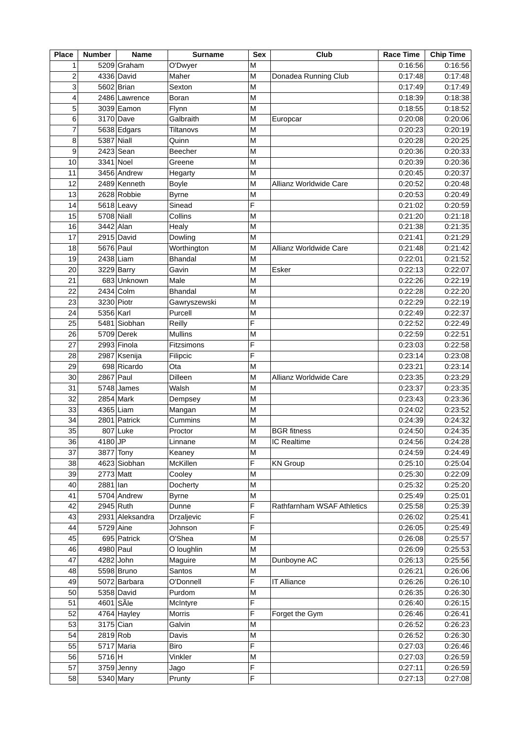| <b>Place</b>            | <b>Number</b> | <b>Name</b>     | <b>Surname</b>    | <b>Sex</b> | Club                       | <b>Race Time</b> | <b>Chip Time</b> |
|-------------------------|---------------|-----------------|-------------------|------------|----------------------------|------------------|------------------|
| 1                       |               | 5209 Graham     | O'Dwyer           | M          |                            | 0:16:56          | 0:16:56          |
| $\overline{\mathbf{c}}$ |               | 4336 David      | Maher             | M          | Donadea Running Club       | 0:17:48          | 0:17:48          |
| 3                       |               | 5602 Brian      | Sexton            | M          |                            | 0:17:49          | 0:17:49          |
| 4                       |               | 2486 Lawrence   | Boran             | M          |                            | 0:18:39          | 0:18:38          |
| 5                       |               | 3039 Eamon      | Flynn             | M          |                            | 0:18:55          | 0:18:52          |
| 6                       |               | 3170 Dave       | Galbraith         | M          | Europcar                   | 0:20:08          | 0:20:06          |
| 7                       |               | 5638 Edgars     | Tiltanovs         | M          |                            | 0:20:23          | 0:20:19          |
| 8                       | 5387 Niall    |                 | Quinn             | M          |                            | 0:20:28          | 0:20:25          |
| 9                       |               | 2423 Sean       | Beecher           | M          |                            | 0:20:36          | 0:20:33          |
| 10                      |               | 3341 Noel       | Greene            | M          |                            | 0:20:39          | 0:20:36          |
| 11                      |               | 3456 Andrew     | Hegarty           | M          |                            | 0:20:45          | 0:20:37          |
| 12                      |               | 2489 Kenneth    | <b>Boyle</b>      | M          | Allianz Worldwide Care     | 0:20:52          | 0:20:48          |
| 13                      |               | 2628 Robbie     | <b>Byrne</b>      | M          |                            | 0:20:53          | 0:20:49          |
| 14                      |               | 5618 Leavy      | Sinead            | F          |                            | 0:21:02          | 0:20:59          |
| 15                      | 5708 Niall    |                 | Collins           | M          |                            | 0:21:20          | 0:21:18          |
| 16                      |               | 3442 Alan       |                   | M          |                            | 0:21:38          | 0:21:35          |
|                         |               |                 | Healy             |            |                            |                  |                  |
| 17                      |               | 2915 David      | Dowling           | M          |                            | 0:21:41          | 0:21:29          |
| 18                      |               | 5676 Paul       | Worthington       | M          | Allianz Worldwide Care     | 0:21:48          | 0:21:42          |
| 19                      |               | 2438 Liam       | <b>Bhandal</b>    | M          |                            | 0:22:01          | 0:21:52          |
| 20                      |               | 3229 Barry      | Gavin             | M          | Esker                      | 0:22:13          | 0:22:07          |
| 21                      |               | 683 Unknown     | Male              | M          |                            | 0:22:26          | 0:22:19          |
| 22                      |               | 2434 Colm       | <b>Bhandal</b>    | M          |                            | 0:22:28          | 0:22:20          |
| 23                      |               | 3230 Piotr      | Gawryszewski      | M          |                            | 0:22:29          | 0:22:19          |
| 24                      | 5356 Karl     |                 | Purcell           | М          |                            | 0:22:49          | 0:22:37          |
| 25                      |               | 5481 Siobhan    | Reilly            | F          |                            | 0:22:52          | 0:22:49          |
| 26                      |               | 5709 Derek      | <b>Mullins</b>    | M          |                            | 0:22:59          | 0:22:51          |
| 27                      |               | 2993 Finola     | Fitzsimons        | F          |                            | 0:23:03          | 0:22:58          |
| 28                      |               | 2987 Ksenija    | Filipcic          | F          |                            | 0:23:14          | 0:23:08          |
| 29                      |               | 698 Ricardo     | Ota               | M          |                            | 0:23:21          | 0:23:14          |
| 30                      |               | 2867 Paul       | Dilleen           | M          | Allianz Worldwide Care     | 0:23:35          | 0:23:29          |
| 31                      |               | 5748 James      | Walsh             | M          |                            | 0:23:37          | 0:23:35          |
| 32                      |               | 2854 Mark       | Dempsey           | M          |                            | 0:23:43          | 0:23:36          |
| 33                      |               | 4365 Liam       | Mangan            | M          |                            | 0:24:02          | 0:23:52          |
| 34                      |               | 2801 Patrick    | Cummins           | M          |                            | 0:24:39          | 0:24:32          |
| 35                      |               | 807 Luke        | Proctor           | M          | <b>BGR</b> fitness         | 0:24:50          | 0:24:35          |
| 36                      | 4180 JP       |                 | Linnane           | M          | IC Realtime                | 0:24:56          | 0:24:28          |
| 37                      |               | 3877 Tony       | Keaney            | М          |                            | 0:24:59          | 0:24:49          |
| 38                      |               | 4623 Siobhan    | McKillen          | F          | <b>KN Group</b>            | 0:25:10          | 0:25:04          |
| 39                      |               | 2773 Matt       | Cooley            | M          |                            | 0:25:30          | 0:22:09          |
| 40                      | $2881$  lan   |                 | Docherty          | M          |                            | 0:25:32          | 0:25:20          |
| 41                      |               | 5704 Andrew     | <b>Byrne</b>      | M          |                            | 0:25:49          | 0:25:01          |
| 42                      |               | 2945 Ruth       | Dunne             | F          | Rathfarnham WSAF Athletics | 0:25:58          | 0:25:39          |
| 43                      |               | 2931 Aleksandra | <b>Drzaljevic</b> | F          |                            | 0:26:02          | 0:25:41          |
| 44                      |               | 5729 Aine       | Johnson           | F          |                            | 0:26:05          | 0:25:49          |
| 45                      |               | 695 Patrick     | O'Shea            | M          |                            | 0:26:08          | 0:25:57          |
| 46                      |               | 4980 Paul       | O loughlin        | M          |                            | 0:26:09          | 0:25:53          |
| 47                      |               | 4282 John       | Maguire           | M          | Dunboyne AC                | 0:26:13          | 0:25:56          |
| 48                      |               | 5598 Bruno      | Santos            | M          |                            | 0:26:21          | 0:26:06          |
| 49                      |               | 5072 Barbara    | O'Donnell         | F          | <b>IT Alliance</b>         | 0:26:26          | 0:26:10          |
| 50                      |               | 5358 David      | Purdom            | M          |                            | 0:26:35          | 0:26:30          |
| 51                      |               | 4601 SÃle       |                   | F          |                            |                  | 0:26:15          |
|                         |               |                 | McIntyre          | F          |                            | 0:26:40          |                  |
| 52                      |               | 4764 Hayley     | Morris            |            | Forget the Gym             | 0:26:46          | 0:26:41          |
| 53                      |               | 3175 Cian       | Galvin            | M          |                            | 0:26:52          | 0:26:23          |
| 54                      | 2819 Rob      |                 | Davis             | M          |                            | 0:26:52          | 0:26:30          |
| 55                      |               | 5717 Maria      | <b>Biro</b>       | F          |                            | 0:27:03          | 0:26:46          |
| 56                      | 5716 H        |                 | Vinkler           | M          |                            | 0:27:03          | 0:26:59          |
| 57                      |               | $3759$ Jenny    | Jago              | F          |                            | 0:27:11          | 0:26:59          |
| 58                      |               | 5340 Mary       | Prunty            | F          |                            | 0:27:13          | 0:27:08          |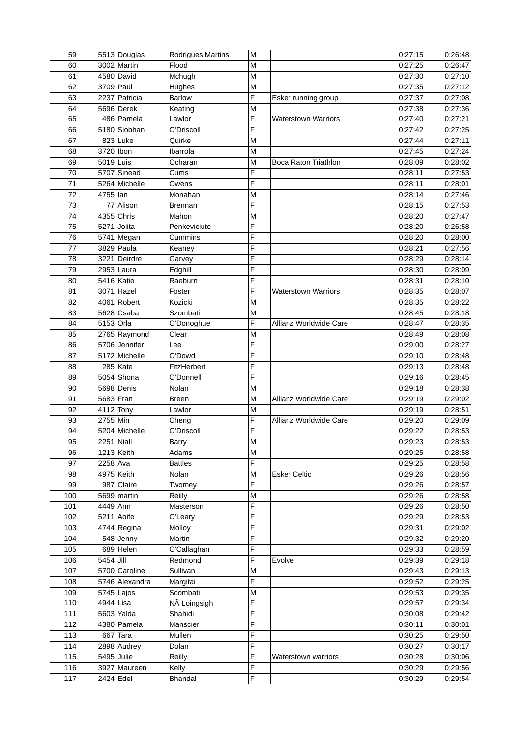| 59  |           | 5513 Douglas   | Rodrigues Martins | M |                             | 0:27:15 | 0:26:48 |
|-----|-----------|----------------|-------------------|---|-----------------------------|---------|---------|
| 60  |           | 3002 Martin    | Flood             | M |                             | 0:27:25 | 0:26:47 |
| 61  |           | 4580 David     | Mchugh            | M |                             | 0:27:30 | 0:27:10 |
| 62  | 3709 Paul |                | Hughes            | M |                             | 0:27:35 | 0:27:12 |
| 63  |           | 2237 Patricia  | <b>Barlow</b>     | F | Esker running group         | 0:27:37 | 0:27:08 |
| 64  |           | 5696 Derek     | Keating           | M |                             | 0:27:38 | 0:27:36 |
| 65  |           | 486 Pamela     | Lawlor            | F | <b>Waterstown Warriors</b>  | 0:27:40 | 0:27:21 |
| 66  |           | 5180 Siobhan   | O'Driscoll        | F |                             | 0:27:42 | 0:27:25 |
| 67  |           | 823 Luke       | Quirke            | M |                             | 0:27:44 | 0:27:11 |
| 68  | 3720 Ibon |                | Ibarrola          | M |                             | 0:27:45 | 0:27:24 |
| 69  | 5019 Luis |                | Ocharan           | M | <b>Boca Raton Triathlon</b> | 0:28:09 | 0:28:02 |
| 70  |           |                |                   | F |                             |         |         |
|     |           | 5707 Sinead    | Curtis            |   |                             | 0:28:11 | 0:27:53 |
| 71  |           | 5264 Michelle  | Owens             | F |                             | 0:28:11 | 0:28:01 |
| 72  | 4755 lan  |                | Monahan           | M |                             | 0:28:14 | 0:27:46 |
| 73  |           | 77 Alison      | <b>Brennan</b>    | F |                             | 0:28:15 | 0:27:53 |
| 74  |           | 4355 Chris     | Mahon             | M |                             | 0:28:20 | 0:27:47 |
| 75  | 5271      | Jolita         | Penkeviciute      | F |                             | 0:28:20 | 0:26:58 |
| 76  |           | 5741 Megan     | Cummins           | F |                             | 0:28:20 | 0:28:00 |
| 77  |           | 3829 Paula     | Keaney            | F |                             | 0:28:21 | 0:27:56 |
| 78  |           | 3221 Deirdre   | Garvey            | F |                             | 0:28:29 | 0:28:14 |
| 79  |           | 2953 Laura     | Edghill           | F |                             | 0:28:30 | 0:28:09 |
| 80  |           | 5416 Katie     | Raeburn           | F |                             | 0:28:31 | 0:28:10 |
| 81  |           | 3071 Hazel     | Foster            | F | Waterstown Warriors         | 0:28:35 | 0:28:07 |
| 82  |           | 4061 Robert    | Kozicki           | M |                             | 0:28:35 | 0:28:22 |
| 83  |           | 5628 Csaba     | Szombati          | M |                             | 0:28:45 | 0:28:18 |
| 84  | 5153 Orla |                | O'Donoghue        | F | Allianz Worldwide Care      | 0:28:47 | 0:28:35 |
| 85  |           | 2765 Raymond   | Clear             | M |                             | 0:28:49 | 0:28:08 |
| 86  |           | 5706 Jennifer  | Lee               | F |                             | 0:29:00 | 0:28:27 |
| 87  |           | 5172 Michelle  | O'Dowd            | F |                             |         |         |
|     |           |                |                   | F |                             | 0:29:10 | 0:28:48 |
| 88  |           | 285 Kate       | FitzHerbert       |   |                             | 0:29:13 | 0:28:48 |
| 89  |           | 5054 Shona     | O'Donnell         | F |                             | 0:29:16 | 0:28:45 |
| 90  |           | 5698 Denis     | Nolan             | M |                             | 0:29:18 | 0:28:38 |
| 91  |           | 5683 Fran      | <b>Breen</b>      | M | Allianz Worldwide Care      | 0:29:19 | 0:29:02 |
| 92  |           | 4112 Tony      | Lawlor            | M |                             | 0:29:19 | 0:28:51 |
| 93  | 2755 Min  |                | Cheng             | F | Allianz Worldwide Care      | 0:29:20 | 0:29:09 |
| 94  |           | 5204 Michelle  | O'Driscoll        | E |                             | 0:29:22 | 0:28:53 |
| 95  |           | $2251$ Niall   | <b>Barry</b>      | M |                             | 0:29:23 | 0:28:53 |
| 96  |           | 1213 Keith     | Adams             | M |                             | 0:29:25 | 0:28:58 |
| 97  | 2258 Ava  |                | <b>Battles</b>    | F |                             | 0:29:25 | 0:28:58 |
| 98  |           | 4975 Keith     | Nolan             | M | <b>Esker Celtic</b>         | 0:29:26 | 0:28:56 |
| 99  |           | 987 Claire     | Twomey            | F |                             | 0:29:26 | 0:28:57 |
| 100 |           | 5699 martin    | Reilly            | M |                             | 0:29:26 | 0:28:58 |
| 101 | 4449 Ann  |                | Masterson         | F |                             | 0:29:26 | 0:28:50 |
| 102 |           | 5211 Aoife     | O'Leary           | F |                             | 0:29:29 | 0:28:53 |
| 103 |           | $4744$ Regina  | Molloy            | F |                             | 0:29:31 | 0:29:02 |
| 104 |           | 548 Jenny      | Martin            | F |                             | 0:29:32 | 0:29:20 |
| 105 |           | 689 Helen      | O'Callaghan       | F |                             | 0:29:33 | 0:28:59 |
|     |           |                |                   |   |                             |         |         |
| 106 | 5454 Jill |                | Redmond           | F | Evolve                      | 0:29:39 | 0:29:18 |
| 107 |           | 5700 Caroline  | Sullivan          | M |                             | 0:29:43 | 0:29:13 |
| 108 |           | 5746 Alexandra | Margitai          | F |                             | 0:29:52 | 0:29:25 |
| 109 |           | $5745$ Lajos   | Scombati          | M |                             | 0:29:53 | 0:29:35 |
| 110 | 4944 Lisa |                | NÃ Loingsigh      | F |                             | 0:29:57 | 0:29:34 |
| 111 |           | 5603 Yalda     | Shahidi           | F |                             | 0:30:08 | 0:29:42 |
| 112 |           | 4380 Pamela    | Manscier          | F |                             | 0:30:11 | 0:30:01 |
| 113 |           | $667$ Tara     | Mullen            | F |                             | 0:30:25 | 0:29:50 |
| 114 |           | 2898 Audrey    | Dolan             | F |                             | 0:30:27 | 0:30:17 |
| 115 |           | 5495 Julie     | Reilly            | F | Waterstown warriors         | 0:30:28 | 0:30:06 |
| 116 |           | 3927 Maureen   | Kelly             | F |                             | 0:30:29 | 0:29:56 |
| 117 |           | 2424 Edel      | <b>Bhandal</b>    | F |                             | 0:30:29 | 0:29:54 |
|     |           |                |                   |   |                             |         |         |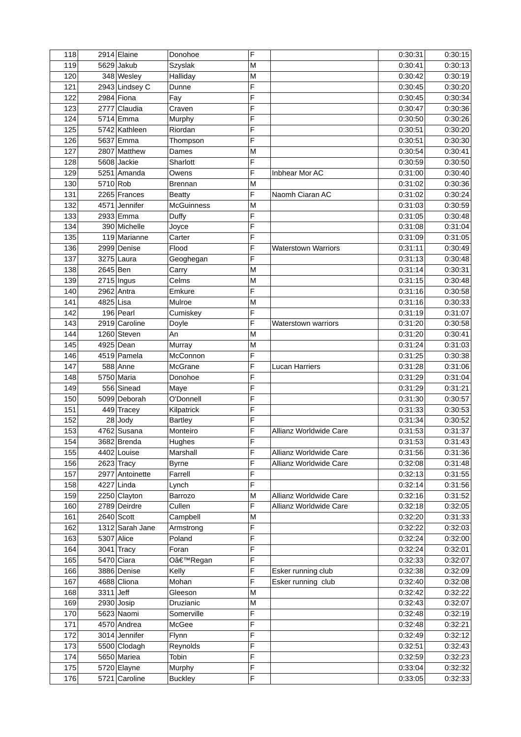| 118 |             | 2914 Elaine     | Donohoe           | F              |                            | 0:30:31 | 0:30:15 |
|-----|-------------|-----------------|-------------------|----------------|----------------------------|---------|---------|
| 119 |             | 5629 Jakub      | Szyslak           | M              |                            | 0:30:41 | 0:30:13 |
| 120 |             | 348 Wesley      | Halliday          | M              |                            | 0:30:42 | 0:30:19 |
| 121 |             | 2943 Lindsey C  | Dunne             | F              |                            | 0:30:45 | 0:30:20 |
| 122 |             | 2984 Fiona      | Fay               | F              |                            | 0:30:45 | 0:30:34 |
| 123 |             | 2777 Claudia    | Craven            | F              |                            | 0:30:47 | 0:30:36 |
| 124 |             | 5714 Emma       | Murphy            | F              |                            | 0:30:50 | 0:30:26 |
| 125 |             | 5742 Kathleen   | Riordan           | F              |                            | 0:30:51 | 0:30:20 |
| 126 |             | 5637 Emma       | Thompson          | F              |                            | 0:30:51 | 0:30:30 |
| 127 |             | 2807 Matthew    | Dames             | M              |                            | 0:30:54 | 0:30:41 |
| 128 |             | 5608 Jackie     | Sharlott          | F              |                            | 0:30:59 | 0:30:50 |
| 129 |             | 5251 Amanda     | Owens             | F              | Inbhear Mor AC             | 0:31:00 | 0:30:40 |
| 130 | 5710 Rob    |                 | <b>Brennan</b>    | M              |                            | 0:31:02 | 0:30:36 |
| 131 |             | 2265 Frances    |                   | F              | Naomh Ciaran AC            | 0:31:02 | 0:30:24 |
|     |             |                 | <b>Beatty</b>     |                |                            |         | 0:30:59 |
| 132 |             | 4571 Jennifer   | <b>McGuinness</b> | M<br>F         |                            | 0:31:03 |         |
| 133 |             | 2933 Emma       | Duffy             |                |                            | 0:31:05 | 0:30:48 |
| 134 |             | 390 Michelle    | Joyce             | F              |                            | 0:31:08 | 0:31:04 |
| 135 |             | 119 Marianne    | Carter            | F              |                            | 0:31:09 | 0:31:05 |
| 136 |             | 2999 Denise     | Flood             | F              | <b>Waterstown Warriors</b> | 0:31:11 | 0:30:49 |
| 137 |             | 3275 Laura      | Geoghegan         | F              |                            | 0:31:13 | 0:30:48 |
| 138 | 2645 Ben    |                 | Carry             | M              |                            | 0:31:14 | 0:30:31 |
| 139 |             | $2715$ Ingus    | Celms             | M              |                            | 0:31:15 | 0:30:48 |
| 140 |             | $2962$ Antra    | Emkure            | F              |                            | 0:31:16 | 0:30:58 |
| 141 | 4825 Lisa   |                 | Mulroe            | M              |                            | 0:31:16 | 0:30:33 |
| 142 |             | 196 Pearl       | Cumiskey          | F              |                            | 0:31:19 | 0:31:07 |
| 143 |             | 2919 Caroline   | Doyle             | F              | Waterstown warriors        | 0:31:20 | 0:30:58 |
| 144 |             | 1260 Steven     | An                | M              |                            | 0:31:20 | 0:30:41 |
| 145 |             | 4925 Dean       | Murray            | M              |                            | 0:31:24 | 0:31:03 |
| 146 |             | 4519 Pamela     | McConnon          | F              |                            | 0:31:25 | 0:30:38 |
| 147 |             | 588 Anne        | McGrane           | F              | <b>Lucan Harriers</b>      | 0:31:28 | 0:31:06 |
| 148 |             | 5750 Maria      | Donohoe           | F              |                            | 0:31:29 | 0:31:04 |
| 149 |             | 556 Sinead      | Maye              | F              |                            | 0:31:29 | 0:31:21 |
| 150 |             | 5099 Deborah    | O'Donnell         | F              |                            | 0:31:30 | 0:30:57 |
| 151 |             | 449 Tracey      | Kilpatrick        | F              |                            | 0:31:33 | 0:30:53 |
| 152 |             | 28 Jody         | <b>Bartley</b>    | F              |                            | 0:31:34 | 0:30:52 |
| 153 |             | 4762 Susana     | Monteiro          | F              | Allianz Worldwide Care     | 0:31:53 | 0:31:37 |
| 154 |             | 3682 Brenda     | Hughes            | $\overline{F}$ |                            | 0:31:53 | 0:31:43 |
| 155 |             | 4402 Louise     | Marshall          | F              | Allianz Worldwide Care     | 0:31:56 | 0:31:36 |
| 156 |             | $2623$ Tracy    | <b>Byrne</b>      | F              | Allianz Worldwide Care     | 0:32:08 | 0:31:48 |
| 157 |             | 2977 Antoinette | Farrell           | F              |                            | 0:32:13 | 0:31:55 |
| 158 |             | 4227 Linda      | Lynch             | F              |                            | 0:32:14 | 0:31:56 |
| 159 |             | 2250 Clayton    | <b>Barrozo</b>    | M              | Allianz Worldwide Care     | 0:32:16 | 0:31:52 |
| 160 |             | 2789 Deirdre    | Cullen            | F              | Allianz Worldwide Care     | 0:32:18 | 0:32:05 |
| 161 |             | $2640$ Scott    | Campbell          | M              |                            | 0:32:20 | 0:31:33 |
| 162 |             | 1312 Sarah Jane | Armstrong         | F              |                            | 0:32:22 | 0:32:03 |
| 163 |             | 5307 Alice      | Poland            | F              |                            | 0:32:24 | 0:32:00 |
| 164 |             | $3041$ Tracy    | Foran             | F              |                            | 0:32:24 | 0:32:01 |
| 165 |             | 5470 Ciara      | O'Regan           | F              |                            | 0:32:33 | 0:32:07 |
| 166 |             | 3886 Denise     | Kelly             | F              | Esker running club         | 0:32:38 | 0:32:09 |
| 167 |             | 4688 Cliona     |                   | F              |                            | 0:32:40 | 0:32:08 |
|     | $3311$ Jeff |                 | Mohan             |                | Esker running club         |         | 0:32:22 |
| 168 |             |                 | Gleeson           | M              |                            | 0:32:42 |         |
| 169 |             | $2930$ Josip    | <b>Druzianic</b>  | M              |                            | 0:32:43 | 0:32:07 |
| 170 |             | 5623 Naomi      | Somerville        | F              |                            | 0:32:48 | 0:32:19 |
| 171 |             | 4570 Andrea     | McGee             | F              |                            | 0:32:48 | 0:32:21 |
| 172 |             | 3014 Jennifer   | Flynn             | F              |                            | 0:32:49 | 0:32:12 |
| 173 |             | 5500 Clodagh    | Reynolds          | F              |                            | 0:32:51 | 0:32:43 |
| 174 |             | 5650 Mariea     | Tobin             | F              |                            | 0:32:59 | 0:32:23 |
| 175 |             | 5720 Elayne     | Murphy            | F              |                            | 0:33:04 | 0:32:32 |
| 176 |             | 5721 Caroline   | <b>Buckley</b>    | F              |                            | 0:33:05 | 0:32:33 |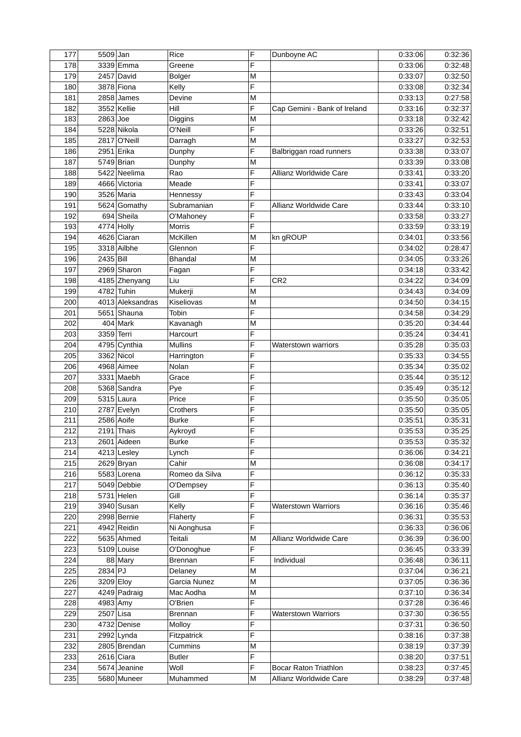| 177        | 5509 Jan   |                  | Rice           | F | Dunboyne AC                  | 0:33:06 | 0:32:36 |
|------------|------------|------------------|----------------|---|------------------------------|---------|---------|
| 178        |            | 3339 Emma        | Greene         | F |                              | 0:33:06 | 0:32:48 |
| 179        |            | 2457 David       | <b>Bolger</b>  | M |                              | 0:33:07 | 0:32:50 |
| 180        |            | 3878 Fiona       | Kelly          | F |                              | 0:33:08 | 0:32:34 |
| 181        |            | $2858$ James     | Devine         | M |                              | 0:33:13 | 0:27:58 |
| 182        |            | 3552 Kellie      | Hill           | F | Cap Gemini - Bank of Ireland | 0:33:16 | 0:32:37 |
| 183        | 2863 Joe   |                  | Diggins        | M |                              | 0:33:18 | 0:32:42 |
| 184        |            | 5228 Nikola      | O'Neill        | F |                              | 0:33:26 | 0:32:51 |
| 185        |            | 2817 O'Neill     | Darragh        | M |                              | 0:33:27 | 0:32:53 |
| 186        |            | 2951 Erika       |                | F |                              | 0:33:38 | 0:33:07 |
|            |            |                  | Dunphy         |   | Balbriggan road runners      |         | 0:33:08 |
| 187        |            | 5749 Brian       | Dunphy         | M |                              | 0:33:39 |         |
| 188        |            | 5422 Neelima     | Rao            | F | Allianz Worldwide Care       | 0:33:41 | 0:33:20 |
| 189        |            | 4666 Victoria    | Meade          | F |                              | 0:33:41 | 0:33:07 |
| 190        |            | 3526 Maria       | Hennessy       | F |                              | 0:33:43 | 0:33:04 |
| 191        |            | 5624 Gomathy     | Subramanian    | F | Allianz Worldwide Care       | 0:33:44 | 0:33:10 |
| 192        |            | 694 Sheila       | O'Mahoney      | F |                              | 0:33:58 | 0:33:27 |
| 193        |            | 4774 Holly       | <b>Morris</b>  | F |                              | 0:33:59 | 0:33:19 |
| 194        |            | 4626 Ciaran      | McKillen       | M | kn gROUP                     | 0:34:01 | 0:33:56 |
| 195        |            | 3318 Ailbhe      | Glennon        | F |                              | 0:34:02 | 0:28:47 |
| 196        | 2435 Bill  |                  | <b>Bhandal</b> | M |                              | 0:34:05 | 0:33:26 |
| 197        |            | 2969 Sharon      | Fagan          | F |                              | 0:34:18 | 0:33:42 |
| 198        |            | 4185 Zhenyang    | Liu            | F | CR <sub>2</sub>              | 0:34:22 | 0:34:09 |
| 199        |            | 4782 Tuhin       | Mukerji        | M |                              | 0:34:43 | 0:34:09 |
| 200        |            | 4013 Aleksandras | Kiseliovas     | M |                              | 0:34:50 | 0:34:15 |
| 201        |            | 5651 Shauna      | Tobin          | F |                              | 0:34:58 | 0:34:29 |
| 202        |            | 404 Mark         | Kavanagh       | M |                              | 0:35:20 | 0:34:44 |
| 203        | 3359 Terri |                  | Harcourt       | F |                              | 0:35:24 | 0:34:41 |
| 204        |            | 4795 Cynthia     | <b>Mullins</b> | F | <b>Waterstown warriors</b>   | 0:35:28 | 0:35:03 |
| 205        |            | 3362 Nicol       | Harrington     | F |                              | 0:35:33 | 0:34:55 |
| 206        |            | 4968 Aimee       | Nolan          | F |                              | 0:35:34 | 0:35:02 |
|            |            |                  |                | F |                              |         |         |
| 207        |            | 3331 Maebh       | Grace          |   |                              | 0:35:44 | 0:35:12 |
| 208        |            | 5368 Sandra      | Pye            | F |                              | 0:35:49 | 0:35:12 |
| 209        |            | $5315$ Laura     | Price          | F |                              | 0:35:50 | 0:35:05 |
| 210        |            | 2787 Evelyn      | Crothers       | F |                              | 0:35:50 | 0:35:05 |
| 211        |            | 2586 Aoife       | <b>Burke</b>   | F |                              | 0:35:51 | 0:35:31 |
| 212        |            | $2191$ Thais     | Aykroyd        | F |                              | 0:35:53 | 0:35:25 |
| 213        |            | 2601 Aideen      | <b>Burke</b>   | F |                              | 0:35:53 | 0:35:32 |
| 214        |            | 4213 Lesley      | Lynch          | F |                              | 0:36:06 | 0:34:21 |
| 215        |            | 2629 Bryan       | Cahir          | M |                              | 0:36:08 | 0:34:17 |
| 216        |            | 5583 Lorena      | Romeo da Silva | F |                              | 0:36:12 | 0:35:33 |
| 217        |            | 5049 Debbie      | O'Dempsey      | F |                              | 0:36:13 | 0:35:40 |
| 218        |            | $5731$ Helen     | Gill           | F |                              | 0:36:14 | 0:35:37 |
| 219        |            | 3940 Susan       | Kelly          | F | Waterstown Warriors          | 0:36:16 | 0:35:46 |
| 220        |            | 2998 Bernie      | Flaherty       | F |                              | 0:36:31 | 0:35:53 |
| 221        |            | 4942 Reidin      | Ni Aonghusa    | F |                              | 0:36:33 | 0:36:06 |
| 222        |            | 5635 Ahmed       | Teitali        | М | Allianz Worldwide Care       | 0:36:39 | 0:36:00 |
| 223        |            | 5109 Louise      | O'Donoghue     | F |                              | 0:36:45 | 0:33:39 |
| 224        |            | 88 Mary          | <b>Brennan</b> | F | Individual                   | 0:36:48 | 0:36:11 |
| 225        | 2834 PJ    |                  | Delaney        | M |                              | 0:37:04 | 0:36:21 |
|            |            | 3209 Eloy        |                | M |                              | 0:37:05 | 0:36:36 |
| 226<br>227 |            | 4249 Padraig     | Garcia Nunez   |   |                              | 0:37:10 | 0:36:34 |
|            |            |                  | Mac Aodha      | M |                              |         |         |
| 228        |            | 4983 Amy         | O'Brien        | F |                              | 0:37:28 | 0:36:46 |
| 229        | 2507 Lisa  |                  | <b>Brennan</b> | F | <b>Waterstown Warriors</b>   | 0:37:30 | 0:36:55 |
| 230        |            | 4732 Denise      | Molloy         | F |                              | 0:37:31 | 0:36:50 |
| 231        |            | 2992 Lynda       | Fitzpatrick    | F |                              | 0:38:16 | 0:37:38 |
| 232        |            | 2805 Brendan     | Cummins        | M |                              | 0:38:19 | 0:37:39 |
| 233        |            | $2616$ Ciara     | <b>Butler</b>  | F |                              | 0:38:20 | 0:37:51 |
| 234        |            | 5674 Jeanine     | Woll           | F | <b>Bocar Raton Triathlon</b> | 0:38:23 | 0:37:45 |
| 235        |            | 5680 Muneer      | Muhammed       | M | Allianz Worldwide Care       | 0:38:29 | 0:37:48 |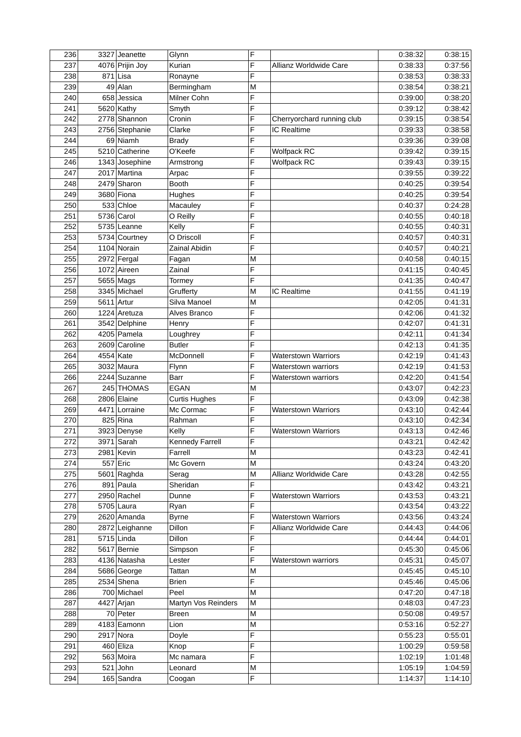| 236 |           | 3327 Jeanette   | Glynn                | F              |                            | 0:38:32 | 0:38:15 |
|-----|-----------|-----------------|----------------------|----------------|----------------------------|---------|---------|
| 237 |           | 4076 Prijin Joy | Kurian               | F              | Allianz Worldwide Care     | 0:38:33 | 0:37:56 |
| 238 |           | $871$ Lisa      | Ronayne              | F              |                            | 0:38:53 | 0:38:33 |
| 239 |           | 49 Alan         | Bermingham           | M              |                            | 0:38:54 | 0:38:21 |
| 240 |           | 658 Jessica     | Milner Cohn          | F              |                            | 0:39:00 | 0:38:20 |
| 241 |           | $5620$ Kathy    | Smyth                | F              |                            | 0:39:12 | 0:38:42 |
| 242 |           | 2778 Shannon    | Cronin               | F              | Cherryorchard running club | 0:39:15 | 0:38:54 |
| 243 |           | 2756 Stephanie  | Clarke               | F              | IC Realtime                | 0:39:33 | 0:38:58 |
| 244 |           | 69 Niamh        | <b>Brady</b>         | F              |                            | 0:39:36 | 0:39:08 |
| 245 |           | 5210 Catherine  | O'Keefe              | F              | <b>Wolfpack RC</b>         | 0:39:42 | 0:39:15 |
| 246 |           | 1343 Josephine  |                      | F              | <b>Wolfpack RC</b>         | 0:39:43 | 0:39:15 |
| 247 |           | 2017 Martina    | Armstrong            | F              |                            |         | 0:39:22 |
|     |           |                 | Arpac                |                |                            | 0:39:55 |         |
| 248 |           | 2479 Sharon     | <b>Booth</b>         | F              |                            | 0:40:25 | 0:39:54 |
| 249 |           | 3680 Fiona      | Hughes               | F              |                            | 0:40:25 | 0:39:54 |
| 250 |           | 533 Chloe       | Macauley             | F              |                            | 0:40:37 | 0:24:28 |
| 251 |           | 5736 Carol      | O Reilly             | F              |                            | 0:40:55 | 0:40:18 |
| 252 |           | 5735 Leanne     | Kelly                | F              |                            | 0:40:55 | 0:40:31 |
| 253 |           | 5734 Courtney   | O Driscoll           | F              |                            | 0:40:57 | 0:40:31 |
| 254 |           | 1104 Norain     | <b>Zainal Abidin</b> | F              |                            | 0:40:57 | 0:40:21 |
| 255 |           | 2972 Fergal     | Fagan                | M              |                            | 0:40:58 | 0:40:15 |
| 256 |           | 1072 Aireen     | Zainal               | F              |                            | 0:41:15 | 0:40:45 |
| 257 |           | 5655 Mags       | Tormey               | F              |                            | 0:41:35 | 0:40:47 |
| 258 |           | 3345 Michael    | Grufferty            | M              | IC Realtime                | 0:41:55 | 0:41:19 |
| 259 |           | 5611 Artur      | Silva Manoel         | M              |                            | 0:42:05 | 0:41:31 |
| 260 |           | 1224 Aretuza    | Alves Branco         | F              |                            | 0:42:06 | 0:41:32 |
| 261 |           | 3542 Delphine   | Henry                | F              |                            | 0:42:07 | 0:41:31 |
| 262 |           | 4205 Pamela     | Loughrey             | F              |                            | 0:42:11 | 0:41:34 |
| 263 |           | 2609 Caroline   | <b>Butler</b>        | F              |                            | 0:42:13 | 0:41:35 |
| 264 | 4554 Kate |                 | McDonnell            | F              | <b>Waterstown Warriors</b> | 0:42:19 | 0:41:43 |
| 265 |           | 3032 Maura      | Flynn                | F              | <b>Waterstown warriors</b> | 0:42:19 | 0:41:53 |
| 266 |           | 2244 Suzanne    | <b>Barr</b>          | F              |                            | 0:42:20 | 0:41:54 |
|     |           |                 |                      |                | Waterstown warriors        |         |         |
| 267 |           | 245 THOMAS      | <b>EGAN</b>          | M              |                            | 0:43:07 | 0:42:23 |
| 268 |           | 2806 Elaine     | <b>Curtis Hughes</b> | F              |                            | 0:43:09 | 0:42:38 |
| 269 |           | 4471 Lorraine   | Mc Cormac            | F              | <b>Waterstown Warriors</b> | 0:43:10 | 0:42:44 |
| 270 |           | $825$ Rina      | Rahman               | F              |                            | 0:43:10 | 0:42:34 |
| 271 |           | 3923 Denyse     | Kelly                | F              | <b>Waterstown Warriors</b> | 0:43:13 | 0:42:46 |
| 272 |           | $3971$ Sarah    | Kennedy Farrell      | $\overline{F}$ |                            | 0:43:21 | 0:42:42 |
| 273 |           | 2981 Kevin      | Farrell              | M              |                            | 0:43:23 | 0:42:41 |
| 274 |           | 557 Eric        | Mc Govern            | M              |                            | 0:43:24 | 0:43:20 |
| 275 |           | 5601 Raghda     | Serag                | M              | Allianz Worldwide Care     | 0:43:28 | 0:42:55 |
| 276 |           | $891$ Paula     | Sheridan             | F              |                            | 0:43:42 | 0:43:21 |
| 277 |           | 2950 Rachel     | Dunne                | F              | Waterstown Warriors        | 0:43:53 | 0:43:21 |
| 278 |           | 5705 Laura      | Ryan                 | F              |                            | 0:43:54 | 0:43:22 |
| 279 |           | 2620 Amanda     | <b>Byrne</b>         | F              | <b>Waterstown Warriors</b> | 0:43:56 | 0:43:24 |
| 280 |           | 2872 Leighanne  | Dillon               | F              | Allianz Worldwide Care     | 0:44:43 | 0:44:06 |
| 281 |           | $5715$ Linda    | Dillon               | F              |                            | 0:44:44 | 0:44:01 |
| 282 |           | 5617 Bernie     | Simpson              | F              |                            | 0:45:30 | 0:45:06 |
| 283 |           | 4136 Natasha    | Lester               | F              | Waterstown warriors        | 0:45:31 | 0:45:07 |
| 284 |           | 5686 George     | Tattan               | M              |                            | 0:45:45 | 0:45:10 |
| 285 |           | $2534$ Shena    | <b>Brien</b>         | F              |                            | 0:45:46 | 0:45:06 |
|     |           | 700 Michael     | Peel                 | M              |                            |         | 0:47:18 |
| 286 |           |                 |                      |                |                            | 0:47:20 |         |
| 287 |           | 4427 Arjan      | Martyn Vos Reinders  | M              |                            | 0:48:03 | 0:47:23 |
| 288 |           | 70 Peter        | Breen                | M              |                            | 0:50:08 | 0:49:57 |
| 289 |           | 4183 Eamonn     | Lion                 | M              |                            | 0:53:16 | 0:52:27 |
| 290 |           | 2917 Nora       | Doyle                | F              |                            | 0:55:23 | 0:55:01 |
| 291 |           | 460 Eliza       | Knop                 | F              |                            | 1:00:29 | 0:59:58 |
| 292 |           | 563 Moira       | Mc namara            | F              |                            | 1:02:19 | 1:01:48 |
| 293 |           | $521$ John      | Leonard              | M              |                            | 1:05:19 | 1:04:59 |
| 294 |           | 165 Sandra      | Coogan               | F              |                            | 1:14:37 | 1:14:10 |